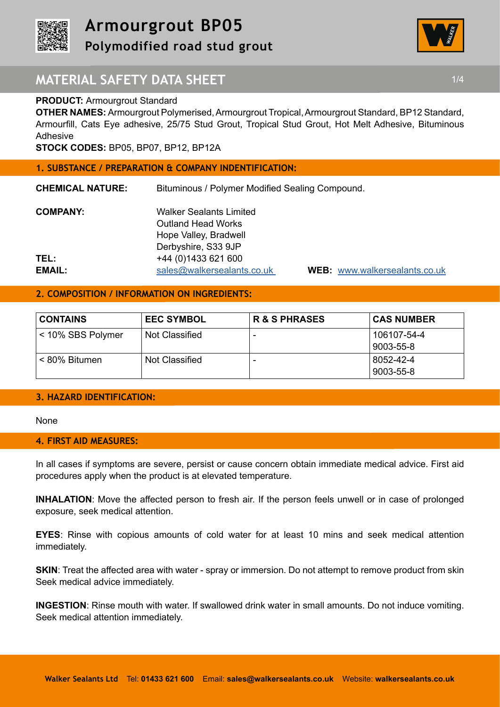



# **MATERIAL SAFETY DATA SHEET 1/4 1/4**

### **PRODUCT: Armourgrout Standard**

**OTHER NAMES:** Armourgrout Polymerised, Armourgrout Tropical, Armourgrout Standard, BP12 Standard, Armourfill, Cats Eye adhesive, 25/75 Stud Grout, Tropical Stud Grout, Hot Melt Adhesive, Bituminous Adhesive

**STOCK CODES:** BP05, BP07, BP12, BP12A

#### **1. SUBSTANCE / PREPARATION & COMPANY INDENTIFICATION:**

**CHEMICAL NATURE:** Bituminous / Polymer Modified Sealing Compound.

| <b>COMPANY:</b> | <b>Walker Sealants Limited</b> |
|-----------------|--------------------------------|
|                 | <b>Outland Head Works</b>      |
|                 | Hope Valley, Bradwell          |
|                 | Derbyshire, S33 9JP            |
| TEL:            | +44 (0) 1433 621 600           |
| <b>EMAIL:</b>   | sales@walkersealants.co.uk     |

**EMAIL:** sales@walkersealants.co.uk **WEB:** www.walkersealants.co.uk

## **2. COMPOSITION / INFORMATION ON INGREDIENTS:**

| <b>CONTAINS</b>   | <b>EEC SYMBOL</b> | <b>R &amp; S PHRASES</b> | <b>CAS NUMBER</b>        |
|-------------------|-------------------|--------------------------|--------------------------|
| < 10% SBS Polymer | Not Classified    | $\overline{\phantom{0}}$ | 106107-54-4<br>9003-55-8 |
| < 80% Bitumen     | Not Classified    | $\overline{\phantom{0}}$ | 8052-42-4<br>9003-55-8   |

### **3. HAZARD IDENTIFICATION:**

None

### **4. FIRST AID MEASURES:**

In all cases if symptoms are severe, persist or cause concern obtain immediate medical advice. First aid procedures apply when the product is at elevated temperature.

**INHALATION**: Move the affected person to fresh air. If the person feels unwell or in case of prolonged exposure, seek medical attention.

**EYES**: Rinse with copious amounts of cold water for at least 10 mins and seek medical attention immediately.

**SKIN:** Treat the affected area with water - spray or immersion. Do not attempt to remove product from skin Seek medical advice immediately.

**INGESTION**: Rinse mouth with water. If swallowed drink water in small amounts. Do not induce vomiting. Seek medical attention immediately.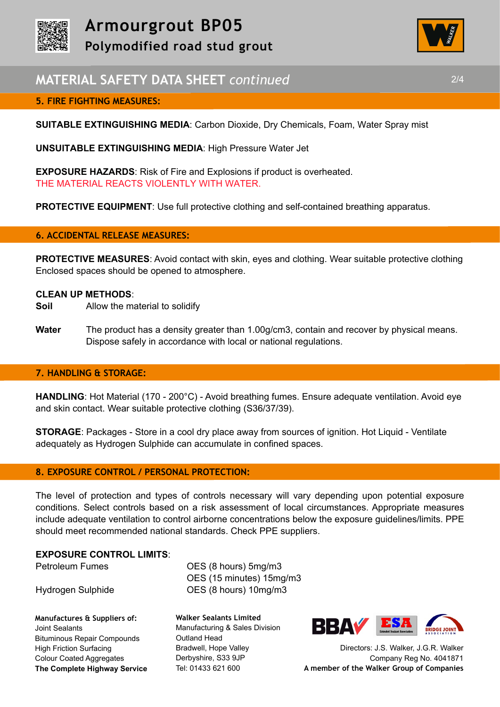



# **MATERIAL SAFETY DATA SHEET** *continued* 2/4

## **5. FIRE FIGHTING MEASURES:**

**SUITABLE EXTINGUISHING MEDIA**: Carbon Dioxide, Dry Chemicals, Foam, Water Spray mist

**UNSUITABLE EXTINGUISHING MEDIA**: High Pressure Water Jet

**EXPOSURE HAZARDS**: Risk of Fire and Explosions if product is overheated. THE MATERIAL REACTS VIOLENTLY WITH WATER.

**PROTECTIVE EQUIPMENT:** Use full protective clothing and self-contained breathing apparatus.

### **6. ACCIDENTAL RELEASE MEASURES:**

**PROTECTIVE MEASURES**: Avoid contact with skin, eyes and clothing. Wear suitable protective clothing Enclosed spaces should be opened to atmosphere.

### **CLEAN UP METHODS**:

- **Soil** Allow the material to solidify
- **Water** The product has a density greater than 1.00g/cm3, contain and recover by physical means. Dispose safely in accordance with local or national regulations.

### **7. HANDLING & STORAGE:**

**HANDLING**: Hot Material (170 - 200°C) - Avoid breathing fumes. Ensure adequate ventilation. Avoid eye and skin contact. Wear suitable protective clothing (S36/37/39).

**STORAGE**: Packages - Store in a cool dry place away from sources of ignition. Hot Liquid - Ventilate adequately as Hydrogen Sulphide can accumulate in confined spaces.

### **8. EXPOSURE CONTROL / PERSONAL PROTECTION:**

The level of protection and types of controls necessary will vary depending upon potential exposure conditions. Select controls based on a risk assessment of local circumstances. Appropriate measures include adequate ventilation to control airborne concentrations below the exposure guidelines/limits. PPE should meet recommended national standards. Check PPE suppliers.

### **EXPOSURE CONTROL LIMITS**:

**Manufactures & Suppliers of:**  Joint Sealants Bituminous Repair Compounds High Friction Surfacing Colour Coated Aggregates **The Complete Highway Service**

Petroleum Fumes **OES** (8 hours) 5mg/m3 OES (15 minutes) 15mg/m3 Hydrogen Sulphide OES (8 hours) 10mg/m3

> **Walker Sealants Limited**  Manufacturing & Sales Division Outland Head Bradwell, Hope Valley Derbyshire, S33 9JP Tel: 01433 621 600



Directors: J.S. Walker, J.G.R. Walker Company Reg No. 4041871 **A member of the Walker Group of Companies**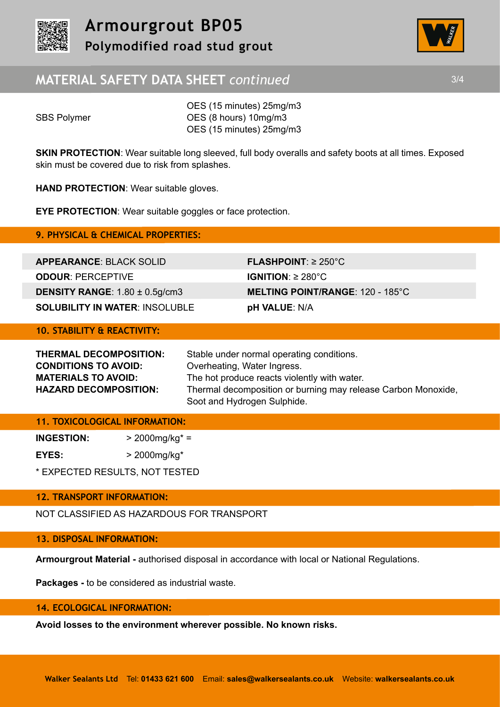



# **MATERIAL SAFETY DATA SHEET** *continued* 3/4

OES (15 minutes) 25mg/m3 SBS Polymer **OES** (8 hours) 10mg/m3 OES (15 minutes) 25mg/m3

**SKIN PROTECTION:** Wear suitable long sleeved, full body overalls and safety boots at all times. Exposed skin must be covered due to risk from splashes.

**HAND PROTECTION**: Wear suitable gloves.

**EYE PROTECTION**: Wear suitable goggles or face protection.

**9. PHYSICAL & CHEMICAL PROPERTIES:** 

**APPEARANCE**: BLACK SOLID **FLASHPOINT**: ≥ 250°C **ODOUR**: PERCEPTIVE **IGNITION**: ≥ 280°C **SOLUBILITY IN WATER**: INSOLUBLE **pH VALUE**: N/A

**DENSITY RANGE**: 1.80 ± 0.5g/cm3 **MELTING POINT/RANGE**: 120 - 185°C

## **10. STABILITY & REACTIVITY:**

| THERMAL DECOMPOSITION:       | Stable under normal operating conditions.                     |  |
|------------------------------|---------------------------------------------------------------|--|
| <b>CONDITIONS TO AVOID:</b>  | Overheating, Water Ingress.                                   |  |
| <b>MATERIALS TO AVOID:</b>   | The hot produce reacts violently with water.                  |  |
| <b>HAZARD DECOMPOSITION:</b> | Thermal decomposition or burning may release Carbon Monoxide, |  |
|                              | Soot and Hydrogen Sulphide.                                   |  |

## **11. TOXICOLOGICAL INFORMATION:**

| <b>INGESTION:</b> | $>$ 2000mg/kg* =           |
|-------------------|----------------------------|
| EYES:             | $>$ 2000mg/kg <sup>*</sup> |

\* EXPECTED RESULTS, NOT TESTED

## **12. TRANSPORT INFORMATION:**

NOT CLASSIFIED AS HAZARDOUS FOR TRANSPORT

## **13. DISPOSAL INFORMATION:**

**Armourgrout Material -** authorised disposal in accordance with local or National Regulations.

**Packages -** to be considered as industrial waste.

## **14. ECOLOGICAL INFORMATION:**

**Avoid losses to the environment wherever possible. No known risks.**